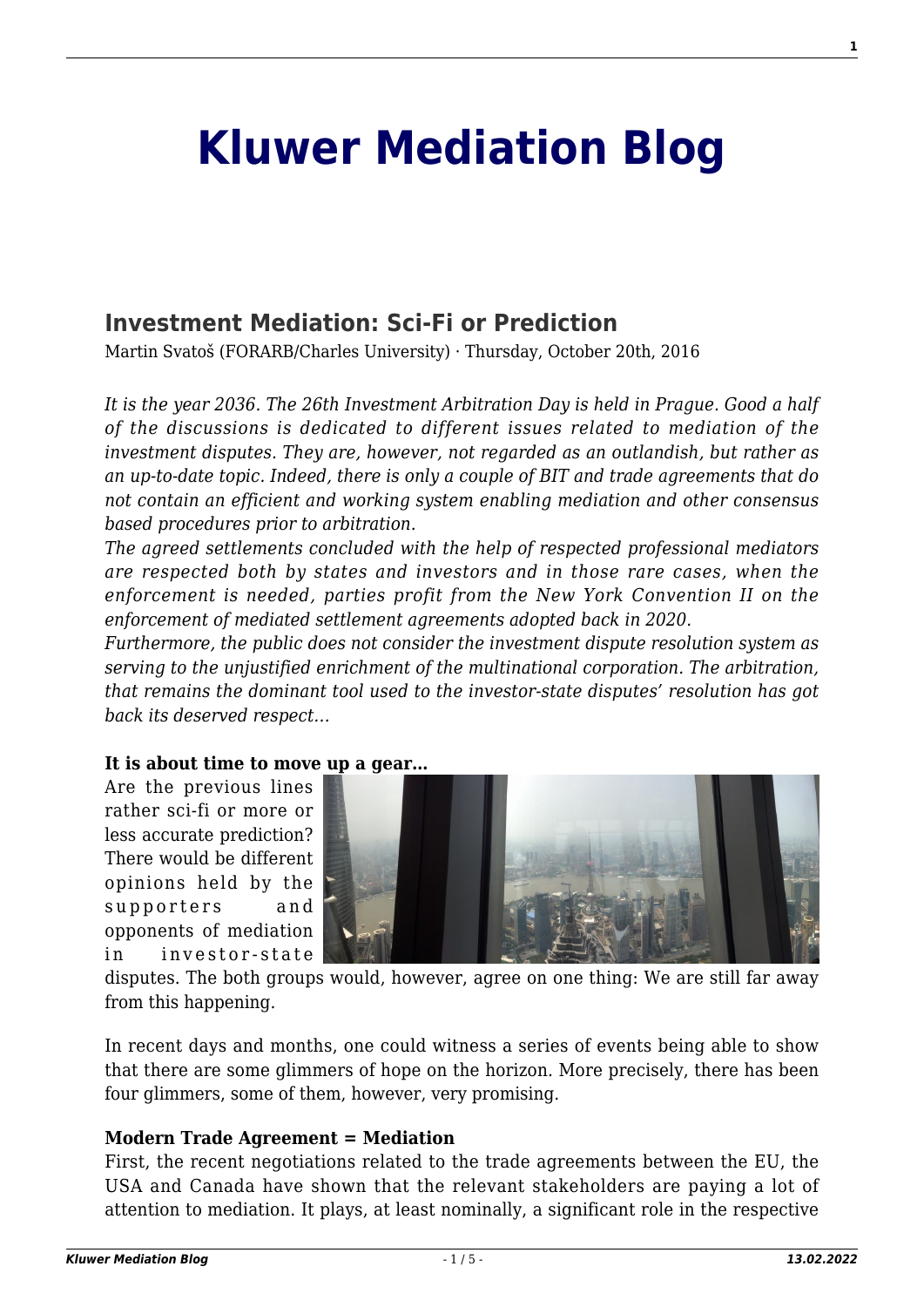# **[Kluwer Mediation Blog](http://mediationblog.kluwerarbitration.com/)**

# **[Investment Mediation: Sci-Fi or Prediction](http://mediationblog.kluwerarbitration.com/2016/10/20/investment-mediation-sci-fi-or-prediction/)**

Martin Svatoš (FORARB/Charles University) · Thursday, October 20th, 2016

*It is the year 2036. The 26th Investment Arbitration Day is held in Prague. Good a half of the discussions is dedicated to different issues related to mediation of the investment disputes. They are, however, not regarded as an outlandish, but rather as an up-to-date topic. Indeed, there is only a couple of BIT and trade agreements that do not contain an efficient and working system enabling mediation and other consensus based procedures prior to arbitration.*

*The agreed settlements concluded with the help of respected professional mediators are respected both by states and investors and in those rare cases, when the enforcement is needed, parties profit from the New York Convention II on the enforcement of mediated settlement agreements adopted back in 2020.*

*Furthermore, the public does not consider the investment dispute resolution system as serving to the unjustified enrichment of the multinational corporation. The arbitration, that remains the dominant tool used to the investor-state disputes' resolution has got back its deserved respect…*

#### **It is about time to move up a gear…**

Are the previous lines rather sci-fi or more or less accurate prediction? There would be different opinions held by the supporters and opponents of mediation in investor-state



disputes. The both groups would, however, agree on one thing: We are still far away from this happening.

In recent days and months, one could witness a series of events being able to show that there are some glimmers of hope on the horizon. More precisely, there has been four glimmers, some of them, however, very promising.

## **Modern Trade Agreement = Mediation**

First, the recent negotiations related to the trade agreements between the EU, the USA and Canada have shown that the relevant stakeholders are paying a lot of attention to mediation. It plays, at least nominally, a significant role in the respective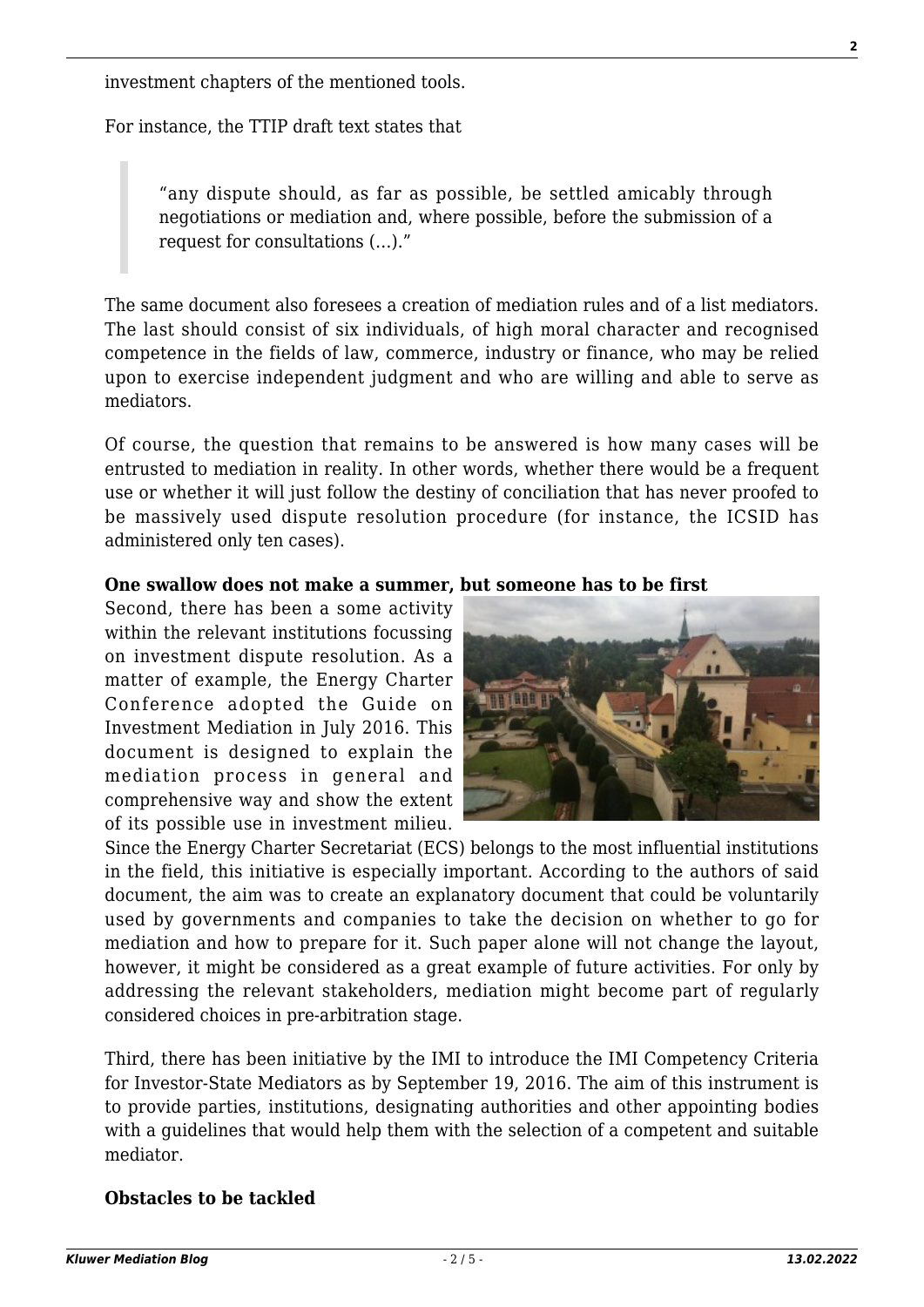investment chapters of the mentioned tools.

For instance, the TTIP draft text states that

"any dispute should, as far as possible, be settled amicably through negotiations or mediation and, where possible, before the submission of a request for consultations (…)."

The same document also foresees a creation of mediation rules and of a list mediators. The last should consist of six individuals, of high moral character and recognised competence in the fields of law, commerce, industry or finance, who may be relied upon to exercise independent judgment and who are willing and able to serve as mediators.

Of course, the question that remains to be answered is how many cases will be entrusted to mediation in reality. In other words, whether there would be a frequent use or whether it will just follow the destiny of conciliation that has never proofed to be massively used dispute resolution procedure (for instance, the ICSID has administered only ten cases).

#### **One swallow does not make a summer, but someone has to be first**

Second, there has been a some activity within the relevant institutions focussing on investment dispute resolution. As a matter of example, the Energy Charter Conference adopted the Guide on Investment Mediation in July 2016. This document is designed to explain the mediation process in general and comprehensive way and show the extent of its possible use in investment milieu.



Since the Energy Charter Secretariat (ECS) belongs to the most influential institutions in the field, this initiative is especially important. According to the authors of said document, the aim was to create an explanatory document that could be voluntarily used by governments and companies to take the decision on whether to go for mediation and how to prepare for it. Such paper alone will not change the layout, however, it might be considered as a great example of future activities. For only by addressing the relevant stakeholders, mediation might become part of regularly considered choices in pre-arbitration stage.

Third, there has been initiative by the IMI to introduce the IMI Competency Criteria for Investor-State Mediators as by September 19, 2016. The aim of this instrument is to provide parties, institutions, designating authorities and other appointing bodies with a guidelines that would help them with the selection of a competent and suitable mediator.

## **Obstacles to be tackled**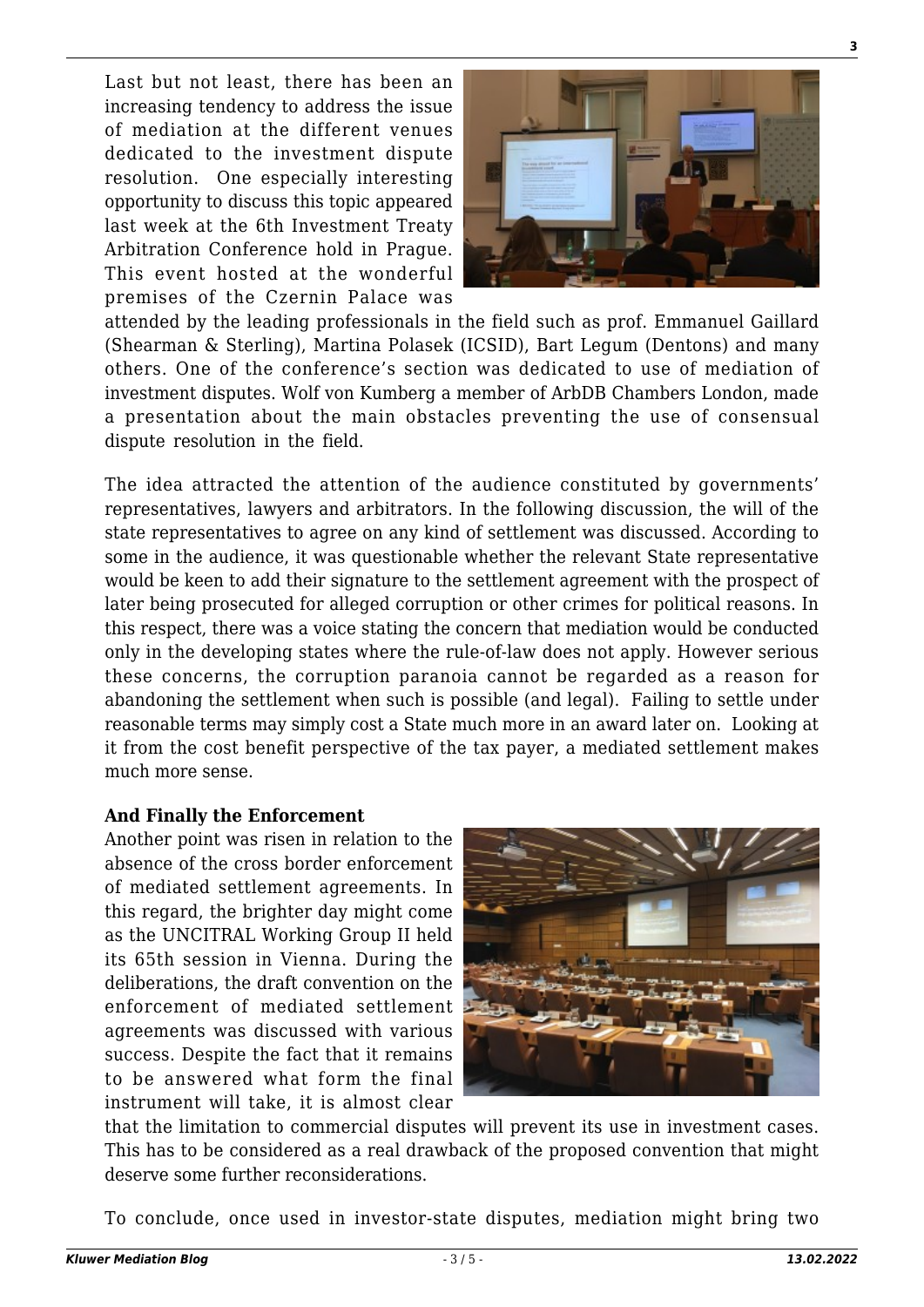Last but not least, there has been an increasing tendency to address the issue of mediation at the different venues dedicated to the investment dispute resolution. One especially interesting opportunity to discuss this topic appeared last week at the 6th Investment Treaty Arbitration Conference hold in Prague. This event hosted at the wonderful premises of the Czernin Palace was



attended by the leading professionals in the field such as prof. Emmanuel Gaillard (Shearman & Sterling), Martina Polasek (ICSID), Bart Legum (Dentons) and many others. One of the conference's section was dedicated to use of mediation of investment disputes. Wolf von Kumberg a member of ArbDB Chambers London, made a presentation about the main obstacles preventing the use of consensual dispute resolution in the field.

The idea attracted the attention of the audience constituted by governments' representatives, lawyers and arbitrators. In the following discussion, the will of the state representatives to agree on any kind of settlement was discussed. According to some in the audience, it was questionable whether the relevant State representative would be keen to add their signature to the settlement agreement with the prospect of later being prosecuted for alleged corruption or other crimes for political reasons. In this respect, there was a voice stating the concern that mediation would be conducted only in the developing states where the rule-of-law does not apply. However serious these concerns, the corruption paranoia cannot be regarded as a reason for abandoning the settlement when such is possible (and legal). Failing to settle under reasonable terms may simply cost a State much more in an award later on. Looking at it from the cost benefit perspective of the tax payer, a mediated settlement makes much more sense.

#### **And Finally the Enforcement**

Another point was risen in relation to the absence of the cross border enforcement of mediated settlement agreements. In this regard, the brighter day might come as the UNCITRAL Working Group II held its 65th session in Vienna. During the deliberations, the draft convention on the enforcement of mediated settlement agreements was discussed with various success. Despite the fact that it remains to be answered what form the final instrument will take, it is almost clear



that the limitation to commercial disputes will prevent its use in investment cases. This has to be considered as a real drawback of the proposed convention that might deserve some further reconsiderations.

To conclude, once used in investor-state disputes, mediation might bring two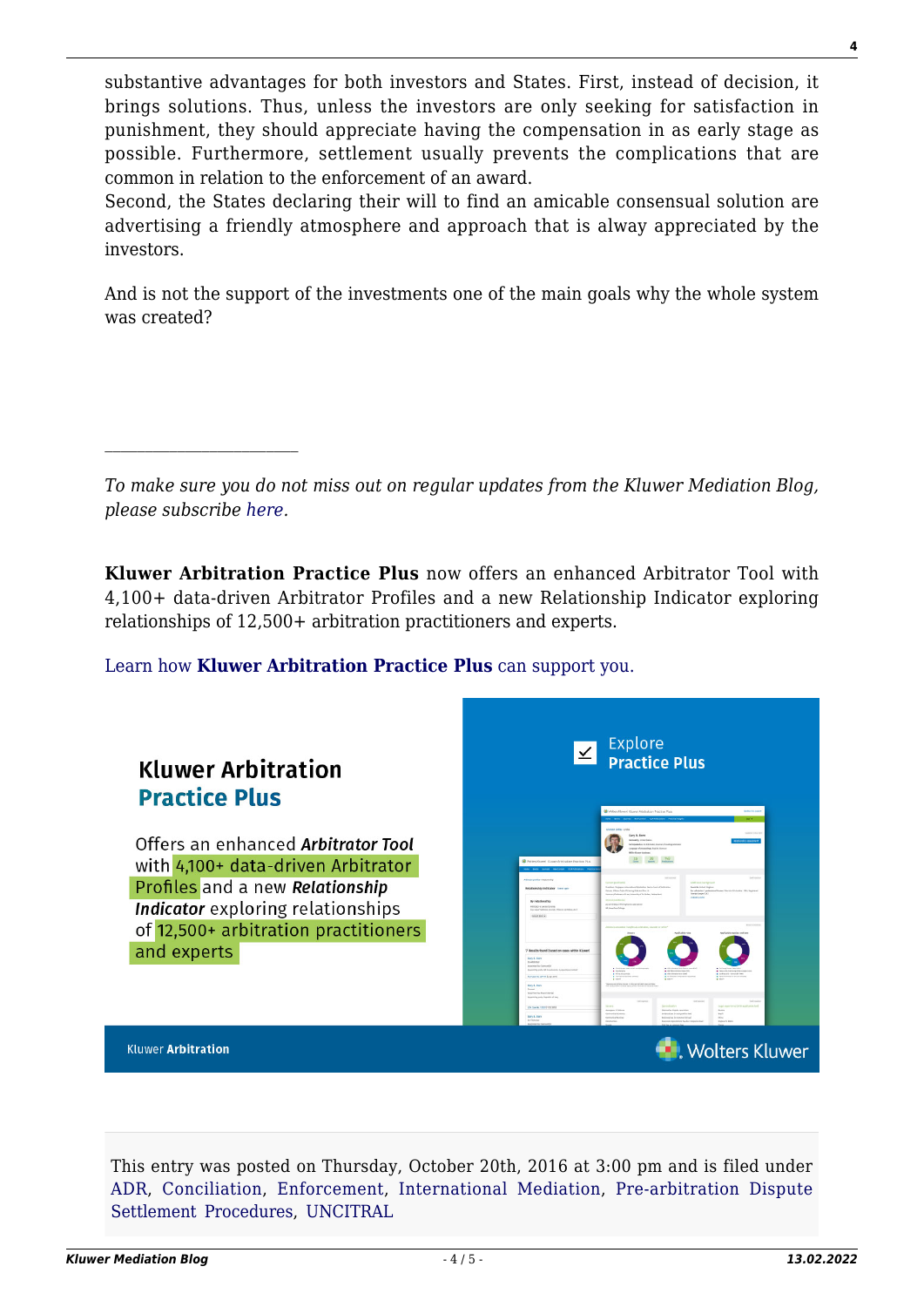substantive advantages for both investors and States. First, instead of decision, it brings solutions. Thus, unless the investors are only seeking for satisfaction in punishment, they should appreciate having the compensation in as early stage as possible. Furthermore, settlement usually prevents the complications that are common in relation to the enforcement of an award.

Second, the States declaring their will to find an amicable consensual solution are advertising a friendly atmosphere and approach that is alway appreciated by the investors.

And is not the support of the investments one of the main goals why the whole system was created?

*To make sure you do not miss out on regular updates from the Kluwer Mediation Blog, please subscribe [here.](http://mediationblog.kluwerarbitration.com/newsletter/)*

**Kluwer Arbitration Practice Plus** now offers an enhanced Arbitrator Tool with 4,100+ data-driven Arbitrator Profiles and a new Relationship Indicator exploring relationships of 12,500+ arbitration practitioners and experts.

# [Learn how](https://www.wolterskluwer.com/en/solutions/kluwerarbitration/practiceplus?utm_source=mediationblog&utm_medium=articleCTA&utm_campaign=article-banner) **[Kluwer Arbitration Practice Plus](https://www.wolterskluwer.com/en/solutions/kluwerarbitration/practiceplus?utm_source=mediationblog&utm_medium=articleCTA&utm_campaign=article-banner)** [can support you.](https://www.wolterskluwer.com/en/solutions/kluwerarbitration/practiceplus?utm_source=mediationblog&utm_medium=articleCTA&utm_campaign=article-banner)



This entry was posted on Thursday, October 20th, 2016 at 3:00 pm and is filed under [ADR](http://mediationblog.kluwerarbitration.com/category/adr/), [Conciliation](http://mediationblog.kluwerarbitration.com/category/conciliation/), [Enforcement,](http://mediationblog.kluwerarbitration.com/category/enforcement/) [International Mediation](http://mediationblog.kluwerarbitration.com/category/international-mediation/), [Pre-arbitration Dispute](http://mediationblog.kluwerarbitration.com/category/pre-arbitration-dispute-settlement-procedures/) [Settlement Procedures,](http://mediationblog.kluwerarbitration.com/category/pre-arbitration-dispute-settlement-procedures/) [UNCITRAL](http://mediationblog.kluwerarbitration.com/category/uncitral/)